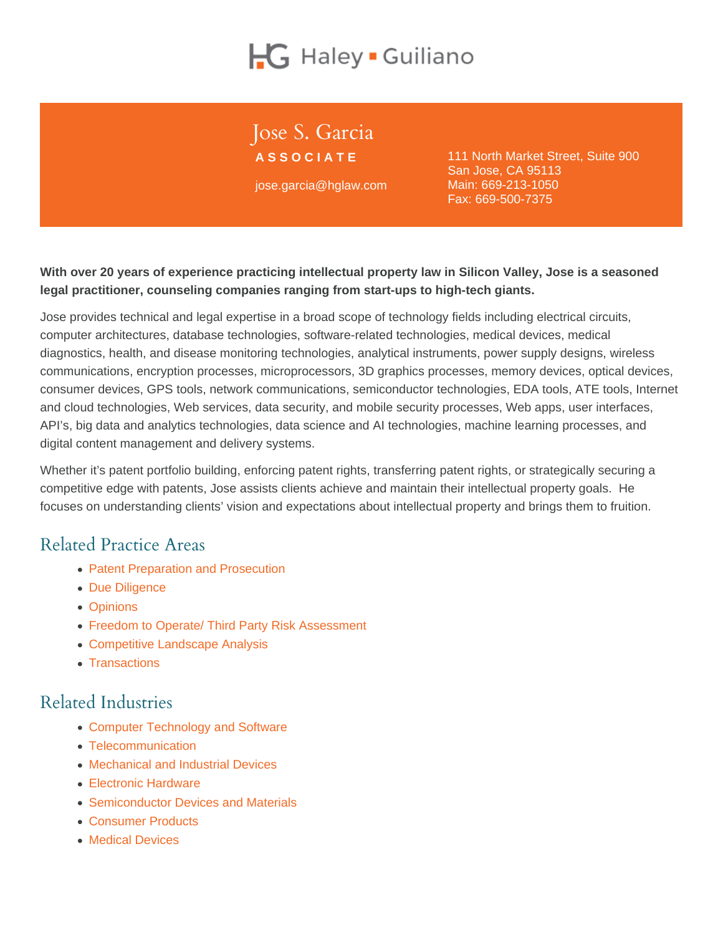# Jose S. Garcia

ASSOCIATE jose.garcia@hglaw.com 111 North Market Street, Suite 900 San Jose, CA 95113 Main: [669-213-1050](tel:+1-669-213-1050) Fax: 669-500-7375

With over 20 years of experience practicing intellectual property law in Silicon Valley, Jose is a seasoned legal practitioner, counseling companies ranging from start-ups to high-tech giants.

Jose provides technical and legal expertise in a broad scope of technology fields including electrical circuits, computer architectures, database technologies, software-related technologies, medical devices, medical diagnostics, health, and disease monitoring technologies, analytical instruments, power supply designs, wireless communications, encryption processes, microprocessors, 3D graphics processes, memory devices, optical devices, consumer devices, GPS tools, network communications, semiconductor technologies, EDA tools, ATE tools, Internet and cloud technologies, Web services, data security, and mobile security processes, Web apps, user interfaces, API's, big data and analytics technologies, data science and AI technologies, machine learning processes, and digital content management and delivery systems.

Whether it's patent portfolio building, enforcing patent rights, transferring patent rights, or strategically securing a competitive edge with patents, Jose assists clients achieve and maintain their intellectual property goals. He focuses on understanding clients' vision and expectations about intellectual property and brings them to fruition.

# Related Practice Areas

- [Patent Preparation and Prosecution](https://www.hglaw.com/practice-areas/patents/patent-preparation-prosecution/)
- [Due Diligence](https://www.hglaw.com/practice-areas/strategic-counseling/due-diligence/)
- [Opinions](https://www.hglaw.com/practice-areas/strategic-counseling/opinions/)
- [Freedom to Operate/ Third Party Risk Assessment](https://www.hglaw.com/practice-areas/strategic-counseling/freedom-to-operate-third-party-risk-assessment/)
- [Competitive Landscape Analysis](https://www.hglaw.com/practice-areas/strategic-counseling/competitive-landscape-analysis/)
- [Transactions](https://www.hglaw.com/practice-areas/strategic-counseling/transactions/)

# Related Industries

- [Computer Technology and Software](https://www.hglaw.com/industries/computer-technology-software/)
- [Telecommunication](https://www.hglaw.com/industries/telecommunications/)
- [Mechanical and Industrial Devices](https://www.hglaw.com/industries/mechanical-industrial-devices/)
- [Electronic Hardware](https://www.hglaw.com/industries/electronic-hardware/)
- [Semiconductor Devices and Materials](https://www.hglaw.com/industries/semiconductors-devices-materials/)
- [Consumer Products](https://www.hglaw.com/industries/consumer-products/)
- [Medical Devices](https://www.hglaw.com/industries/medical-devices/)